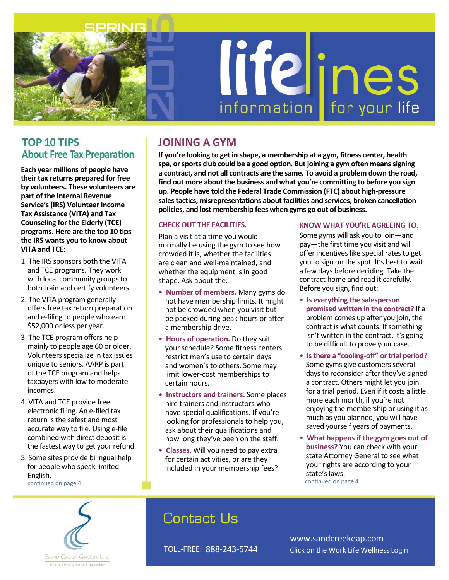# lifelines

# **TOP 10 TIPS About Free Tax Preparation**

**Each year millions of people have their tax returns prepared for free by volunteers. These volunteers are part of the Internal Revenue Service's (IRS) Volunteer Income Tax Assistance (VITA) and Tax Counseling for the Elderly (TCE) programs. Here are the top 10 tips the IRS wants you to know about VITA and TCE:** 

- 1. The IRS sponsors both the VITA and TCE programs. They work with local community groups to both train and certify volunteers.
- 2. The VITA program generally offers free tax return preparation and e-filing to people who earn \$52,000 or less per year.
- 3. The TCE program offers help mainly to people age 60 or older. Volunteers specialize in tax issues unique to seniors. AARP is part of the TCE program and helps taxpayers with low to moderate incomes.
- 4. VITA and TCE provide free electronic filing. An e-filed tax return is the safest and most accurate way to file. Using e-file combined with direct deposit is the fastest way to get your refund.
- 5. Some sites provide bilingual help for people who speak limited English. continued on page 4

# **JOINING A GYM**

**If you're looking to get in shape, a membership at a gym, fitness center, health spa, or sports club could be a good option. But joining a gym often means signing a contract, and not all contracts are the same. To avoid a problem down the road, find out more about the business and what you're committing to before you sign up. People have told the Federal Trade Commission (FTC) about high-pressure sales tactics, misrepresentations about facilities and services, broken cancellation policies, and lost membership fees when gyms go out of business.**

### **CHECK OUT THE FACILITIES.**

Plan a visit at a time you would normally be using the gym to see how crowded it is, whether the facilities are clean and well-maintained, and whether the equipment is in good shape. Ask about the:

- **Number of members.** Many gyms do not have membership limits. It might not be crowded when you visit but be packed during peak hours or after a membership drive.
- **Hours of operation.** Do they suit your schedule? Some fitness centers restrict men's use to certain days and women's to others. Some may limit lower-cost memberships to certain hours.
- **Instructors and trainers.** Some places hire trainers and instructors who have special qualifications. If you're looking for professionals to help you, ask about their qualifications and how long they've been on the staff.
- **Classes.** Will you need to pay extra for certain activities, or are they included in your membership fees?

### **KNOW WHAT YOU'RE AGREEING TO.**

Some gyms will ask you to join—and pay—the first time you visit and will offer incentives like special rates to get you to sign on the spot. It's best to wait a few days before deciding. Take the contract home and read it carefully. Before you sign, find out:

- **Is everything the salesperson promised written in the contract?** If a problem comes up after you join, the contract is what counts. If something isn't written in the contract, it's going to be difficult to prove your case.
- **Is there a "cooling-off" or trial period?** Some gyms give customers several days to reconsider after they've signed a contract. Others might let you join for a trial period. Even if it costs a little more each month, if you're not enjoying the membership or using it as much as you planned, you will have saved yourself years of payments.
- **What happens if the gym goes out of business?** You can check with your state Attorney General to see what your rights are according to your state's laws. continued on page 4



# Contact Us

TOLL-FREE: 888-243-5744

www.sandcreekeap.com Click on the Work Life Wellness Login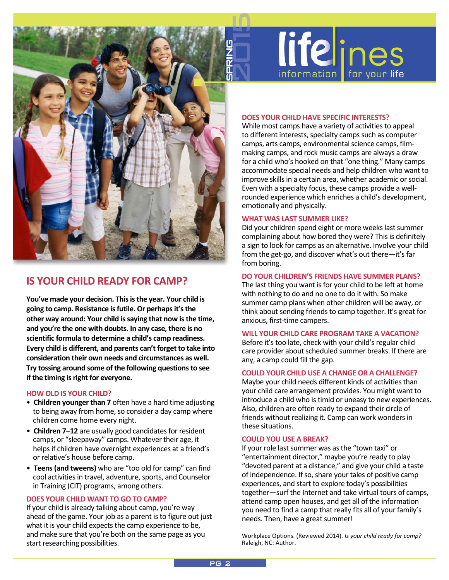

## **IS YOUR CHILD READY FOR CAMP?**

**You've made your decision. This is the year. Your child is going to camp. Resistance is futile. Or perhaps it's the other way around: Your child is saying that now is the time, and you're the one with doubts. In any case, there is no scientific formula to determine a child's camp readiness. Every child is different, and parents can't forget to take into consideration their own needs and circumstances as well. Try tossing around some of the following questions to see if the timing is right for everyone.**

### **HOW OLD IS YOUR CHILD?**

- **Children younger than 7** often have a hard time adjusting to being away from home, so consider a day camp where children come home every night.
- **Children 7–12** are usually good candidates for resident camps, or "sleepaway" camps. Whatever their age, it helps if children have overnight experiences at a friend's or relative's house before camp.
- **Teens (and tweens)** who are "too old for camp" can find cool activities in travel, adventure, sports, and Counselor in Training (CIT) programs, among others.

### **DOES YOUR CHILD WANT TO GO TO CAMP?**

If your child is already talking about camp, you're way ahead of the game. Your job as a parent is to figure out just what it is your child expects the camp experience to be, and make sure that you're both on the same page as you start researching possibilities.

### **DOES YOUR CHILD HAVE SPECIFIC INTERESTS?**

While most camps have a variety of activities to appeal to different interests, specialty camps such as computer camps, arts camps, environmental science camps, filmmaking camps, and rock music camps are always a draw for a child who's hooked on that "one thing." Many camps accommodate special needs and help children who want to improve skills in a certain area, whether academic or social. Even with a specialty focus, these camps provide a wellrounded experience which enriches a child's development, emotionally and physically.

lifelines

information for your life

### **WHAT WAS LAST SUMMER LIKE?**

Did your children spend eight or more weeks last summer complaining about how bored they were? This is definitely a sign to look for camps as an alternative. Involve your child from the get-go, and discover what's out there—it's far from boring.

### **DO YOUR CHILDREN'S FRIENDS HAVE SUMMER PLANS?**

The last thing you want is for your child to be left at home with nothing to do and no one to do it with. So make summer camp plans when other children will be away, or think about sending friends to camp together. It's great for anxious, first-time campers.

### **WILL YOUR CHILD CARE PROGRAM TAKE A VACATION?**

Before it's too late, check with your child's regular child care provider about scheduled summer breaks. If there are any, a camp could fill the gap.

### **COULD YOUR CHILD USE A CHANGE OR A CHALLENGE?**

Maybe your child needs different kinds of activities than your child care arrangement provides. You might want to introduce a child who is timid or uneasy to new experiences. Also, children are often ready to expand their circle of friends without realizing it. Camp can work wonders in these situations.

### **COULD YOU USE A BREAK?**

If your role last summer was as the "town taxi" or "entertainment director," maybe you're ready to play "devoted parent at a distance," and give your child a taste of independence. If so, share your tales of positive camp experiences, and start to explore today's possibilities together—surf the Internet and take virtual tours of camps, attend camp open houses, and get all of the information you need to find a camp that really fits all of your family's needs. Then, have a great summer!

Workplace Options. (Reviewed 2014). *Is your child ready for camp?* Raleigh, NC: Author.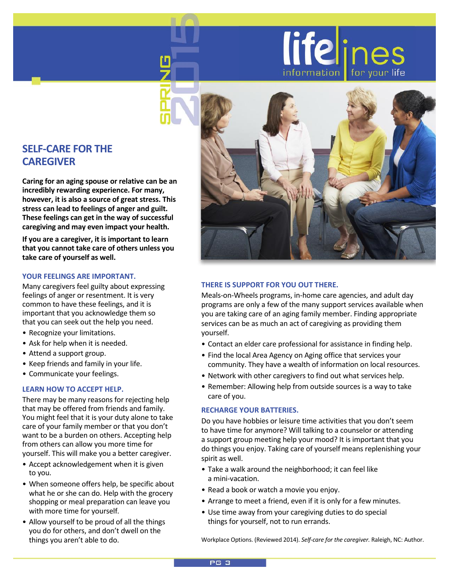

# **SELF-CARE FOR THE CAREGIVER**

**Caring for an aging spouse or relative can be an incredibly rewarding experience. For many, however, it is also a source of great stress. This stress can lead to feelings of anger and guilt. These feelings can get in the way of successful caregiving and may even impact your health.** 

**If you are a caregiver, it is important to learn that you cannot take care of others unless you take care of yourself as well.**

### **YOUR FEELINGS ARE IMPORTANT.**

Many caregivers feel guilty about expressing feelings of anger or resentment. It is very common to have these feelings, and it is important that you acknowledge them so that you can seek out the help you need.

- Recognize your limitations.
- Ask for help when it is needed.
- Attend a support group.
- Keep friends and family in your life.
- Communicate your feelings.

### **LEARN HOW TO ACCEPT HELP.**

There may be many reasons for rejecting help that may be offered from friends and family. You might feel that it is your duty alone to take care of your family member or that you don't want to be a burden on others. Accepting help from others can allow you more time for yourself. This will make you a better caregiver.

- Accept acknowledgement when it is given to you.
- When someone offers help, be specific about what he or she can do. Help with the grocery shopping or meal preparation can leave you with more time for yourself.
- Allow yourself to be proud of all the things you do for others, and don't dwell on the things you aren't able to do.



### **THERE IS SUPPORT FOR YOU OUT THERE.**

Meals-on-Wheels programs, in-home care agencies, and adult day programs are only a few of the many support services available when you are taking care of an aging family member. Finding appropriate services can be as much an act of caregiving as providing them yourself.

- Contact an elder care professional for assistance in finding help.
- Find the local Area Agency on Aging office that services your community. They have a wealth of information on local resources.
- Network with other caregivers to find out what services help.
- Remember: Allowing help from outside sources is a way to take care of you.

### **RECHARGE YOUR BATTERIES.**

Do you have hobbies or leisure time activities that you don't seem to have time for anymore? Will talking to a counselor or attending a support group meeting help your mood? It is important that you do things you enjoy. Taking care of yourself means replenishing your spirit as well.

- Take a walk around the neighborhood; it can feel like a mini-vacation.
- Read a book or watch a movie you enjoy.
- Arrange to meet a friend, even if it is only for a few minutes.
- Use time away from your caregiving duties to do special things for yourself, not to run errands.

Workplace Options. (Reviewed 2014). *Self-care for the caregiver.* Raleigh, NC: Author.